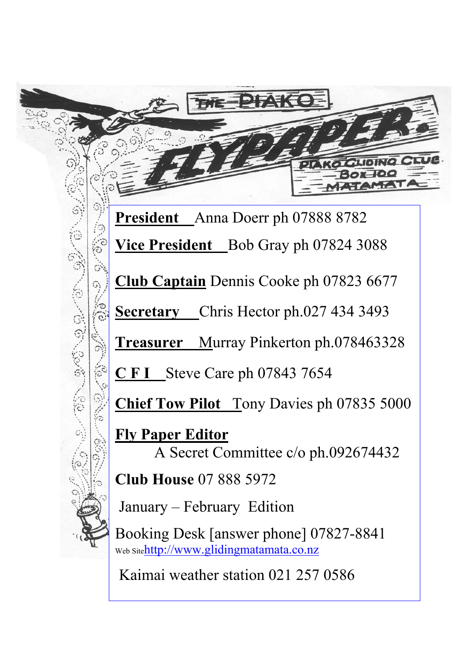**President** Anna Doerr ph 07888 8782 **Vice President** Bob Gray ph 07824 3088 **Club Captain** Dennis Cooke ph 07823 6677 **Secretary** Chris Hector ph.027 434 3493 **Treasurer** Murray Pinkerton ph.078463328 **C F I** Steve Care ph 07843 7654 **Chief Tow Pilot** Tony Davies ph 07835 5000 **Fly Paper Editor** A Secret Committee c/o ph.092674432 **Club House** 07 888 5972 January – February Edition Booking Desk [answer phone] 07827-8841 Web Sitehttp://www.glidingmatamata.co.nz Kaimai weather station 021 257 0586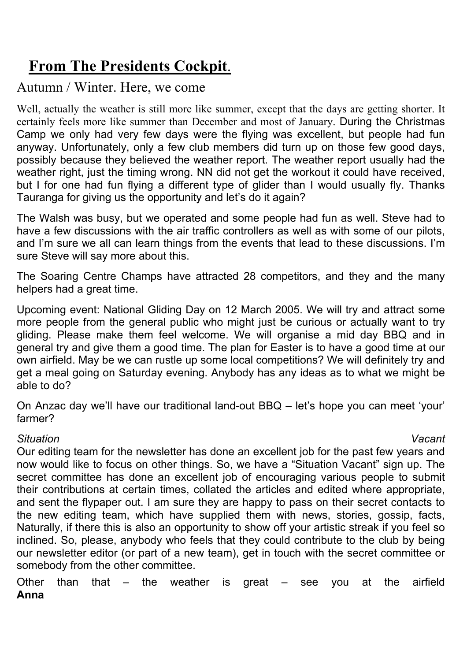## **From The Presidents Cockpit**.

### Autumn / Winter. Here, we come

Well, actually the weather is still more like summer, except that the days are getting shorter. It certainly feels more like summer than December and most of January. During the Christmas Camp we only had very few days were the flying was excellent, but people had fun anyway. Unfortunately, only a few club members did turn up on those few good days, possibly because they believed the weather report. The weather report usually had the weather right, just the timing wrong. NN did not get the workout it could have received, but I for one had fun flying a different type of glider than I would usually fly. Thanks Tauranga for giving us the opportunity and let's do it again?

The Walsh was busy, but we operated and some people had fun as well. Steve had to have a few discussions with the air traffic controllers as well as with some of our pilots, and I'm sure we all can learn things from the events that lead to these discussions. I'm sure Steve will say more about this.

The Soaring Centre Champs have attracted 28 competitors, and they and the many helpers had a great time.

Upcoming event: National Gliding Day on 12 March 2005. We will try and attract some more people from the general public who might just be curious or actually want to try gliding. Please make them feel welcome. We will organise a mid day BBQ and in general try and give them a good time. The plan for Easter is to have a good time at our own airfield. May be we can rustle up some local competitions? We will definitely try and get a meal going on Saturday evening. Anybody has any ideas as to what we might be able to do?

On Anzac day we'll have our traditional land-out BBQ – let's hope you can meet 'your' farmer?

*Situation Vacant* Our editing team for the newsletter has done an excellent job for the past few years and now would like to focus on other things. So, we have a "Situation Vacant" sign up. The secret committee has done an excellent job of encouraging various people to submit their contributions at certain times, collated the articles and edited where appropriate, and sent the flypaper out. I am sure they are happy to pass on their secret contacts to the new editing team, which have supplied them with news, stories, gossip, facts, Naturally, if there this is also an opportunity to show off your artistic streak if you feel so inclined. So, please, anybody who feels that they could contribute to the club by being our newsletter editor (or part of a new team), get in touch with the secret committee or somebody from the other committee.

Other than that – the weather is great – see you at the airfield **Anna**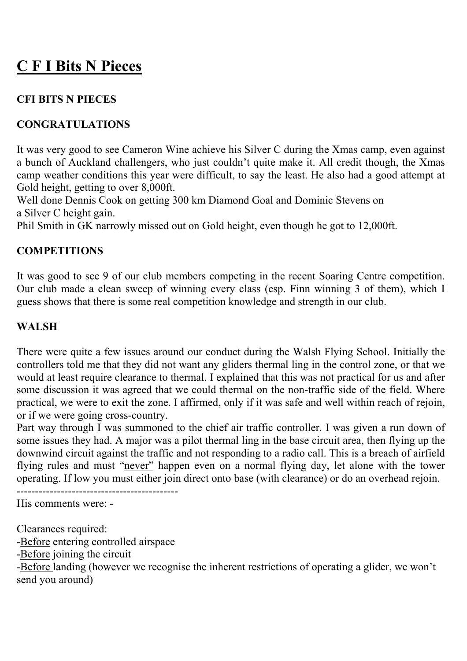### **C F I Bits N Pieces**

### **CFI BITS N PIECES**

### **CONGRATULATIONS**

It was very good to see Cameron Wine achieve his Silver C during the Xmas camp, even against a bunch of Auckland challengers, who just couldn't quite make it. All credit though, the Xmas camp weather conditions this year were difficult, to say the least. He also had a good attempt at Gold height, getting to over 8,000ft.

Well done Dennis Cook on getting 300 km Diamond Goal and Dominic Stevens on a Silver C height gain.

Phil Smith in GK narrowly missed out on Gold height, even though he got to 12,000ft.

### **COMPETITIONS**

It was good to see 9 of our club members competing in the recent Soaring Centre competition. Our club made a clean sweep of winning every class (esp. Finn winning 3 of them), which I guess shows that there is some real competition knowledge and strength in our club.

### **WALSH**

There were quite a few issues around our conduct during the Walsh Flying School. Initially the controllers told me that they did not want any gliders thermal ling in the control zone, or that we would at least require clearance to thermal. I explained that this was not practical for us and after some discussion it was agreed that we could thermal on the non-traffic side of the field. Where practical, we were to exit the zone. I affirmed, only if it was safe and well within reach of rejoin, or if we were going cross-country.

Part way through I was summoned to the chief air traffic controller. I was given a run down of some issues they had. A major was a pilot thermal ling in the base circuit area, then flying up the downwind circuit against the traffic and not responding to a radio call. This is a breach of airfield flying rules and must "never" happen even on a normal flying day, let alone with the tower operating. If low you must either join direct onto base (with clearance) or do an overhead rejoin.

--------------------------------------------

His comments were: -

Clearances required: -Before entering controlled airspace -Before joining the circuit -**Before** landing (however we recognise the inherent restrictions of operating a glider, we won't send you around)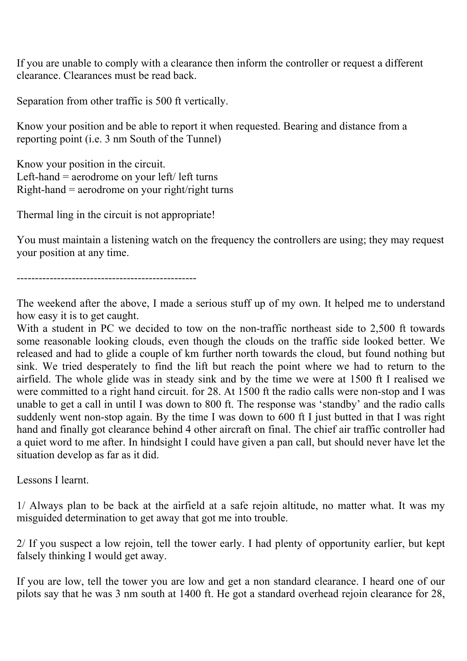If you are unable to comply with a clearance then inform the controller or request a different clearance. Clearances must be read back.

Separation from other traffic is 500 ft vertically.

Know your position and be able to report it when requested. Bearing and distance from a reporting point (i.e. 3 nm South of the Tunnel)

Know your position in the circuit. Left-hand = aerodrome on your left/ left turns Right-hand = aerodrome on your right/right turns

Thermal ling in the circuit is not appropriate!

You must maintain a listening watch on the frequency the controllers are using; they may request your position at any time.

-------------------------------------------------

The weekend after the above, I made a serious stuff up of my own. It helped me to understand how easy it is to get caught.

With a student in PC we decided to tow on the non-traffic northeast side to 2,500 ft towards some reasonable looking clouds, even though the clouds on the traffic side looked better. We released and had to glide a couple of km further north towards the cloud, but found nothing but sink. We tried desperately to find the lift but reach the point where we had to return to the airfield. The whole glide was in steady sink and by the time we were at 1500 ft I realised we were committed to a right hand circuit. for 28. At 1500 ft the radio calls were non-stop and I was unable to get a call in until I was down to 800 ft. The response was 'standby' and the radio calls suddenly went non-stop again. By the time I was down to 600 ft I just butted in that I was right hand and finally got clearance behind 4 other aircraft on final. The chief air traffic controller had a quiet word to me after. In hindsight I could have given a pan call, but should never have let the situation develop as far as it did.

Lessons I learnt.

1/ Always plan to be back at the airfield at a safe rejoin altitude, no matter what. It was my misguided determination to get away that got me into trouble.

2/ If you suspect a low rejoin, tell the tower early. I had plenty of opportunity earlier, but kept falsely thinking I would get away.

If you are low, tell the tower you are low and get a non standard clearance. I heard one of our pilots say that he was 3 nm south at 1400 ft. He got a standard overhead rejoin clearance for 28,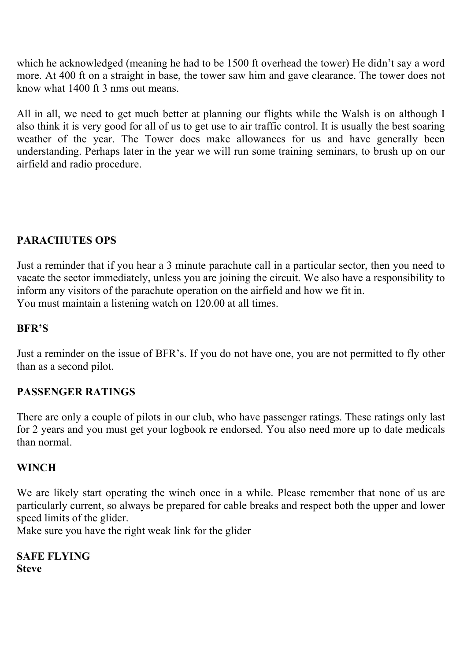which he acknowledged (meaning he had to be 1500 ft overhead the tower) He didn't say a word more. At 400 ft on a straight in base, the tower saw him and gave clearance. The tower does not know what 1400 ft 3 nms out means.

All in all, we need to get much better at planning our flights while the Walsh is on although I also think it is very good for all of us to get use to air traffic control. It is usually the best soaring weather of the year. The Tower does make allowances for us and have generally been understanding. Perhaps later in the year we will run some training seminars, to brush up on our airfield and radio procedure.

#### **PARACHUTES OPS**

Just a reminder that if you hear a 3 minute parachute call in a particular sector, then you need to vacate the sector immediately, unless you are joining the circuit. We also have a responsibility to inform any visitors of the parachute operation on the airfield and how we fit in. You must maintain a listening watch on 120.00 at all times.

#### **BFR'S**

Just a reminder on the issue of BFR's. If you do not have one, you are not permitted to fly other than as a second pilot.

#### **PASSENGER RATINGS**

There are only a couple of pilots in our club, who have passenger ratings. These ratings only last for 2 years and you must get your logbook re endorsed. You also need more up to date medicals than normal.

#### **WINCH**

We are likely start operating the winch once in a while. Please remember that none of us are particularly current, so always be prepared for cable breaks and respect both the upper and lower speed limits of the glider.

Make sure you have the right weak link for the glider

**SAFE FLYING Steve**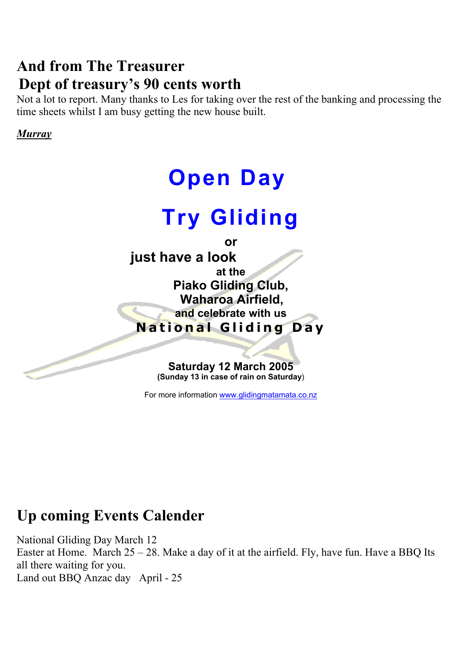### **And from The Treasurer Dept of treasury's 90 cents worth**

Not a lot to report. Many thanks to Les for taking over the rest of the banking and processing the time sheets whilst I am busy getting the new house built.

### *Murray*



### **Up coming Events Calender**

National Gliding Day March 12 Easter at Home. March  $25 - 28$ . Make a day of it at the airfield. Fly, have fun. Have a BBQ Its all there waiting for you. Land out BBQ Anzac day April - 25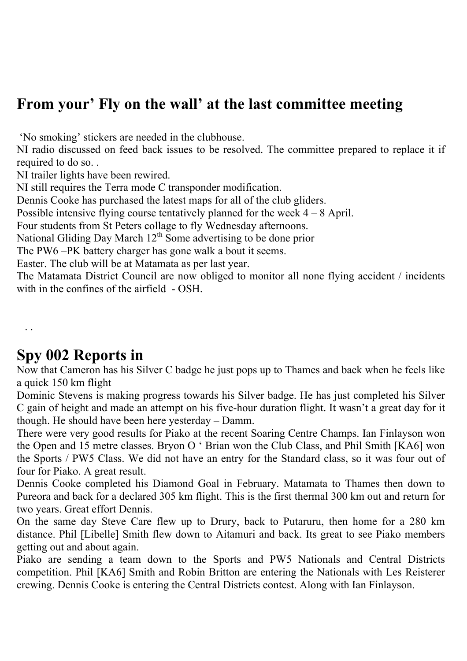### **From your' Fly on the wall' at the last committee meeting**

'No smoking' stickers are needed in the clubhouse.

NI radio discussed on feed back issues to be resolved. The committee prepared to replace it if required to do so. .

NI trailer lights have been rewired.

NI still requires the Terra mode C transponder modification.

Dennis Cooke has purchased the latest maps for all of the club gliders.

Possible intensive flying course tentatively planned for the week  $4 - 8$  April.

Four students from St Peters collage to fly Wednesday afternoons.

National Gliding Day March  $12<sup>th</sup>$  Some advertising to be done prior

The PW6 –PK battery charger has gone walk a bout it seems.

Easter. The club will be at Matamata as per last year.

The Matamata District Council are now obliged to monitor all none flying accident / incidents with in the confines of the airfield - OSH.

. .

### **Spy 002 Reports in**

Now that Cameron has his Silver C badge he just pops up to Thames and back when he feels like a quick 150 km flight

Dominic Stevens is making progress towards his Silver badge. He has just completed his Silver C gain of height and made an attempt on his five-hour duration flight. It wasn't a great day for it though. He should have been here yesterday – Damm.

There were very good results for Piako at the recent Soaring Centre Champs. Ian Finlayson won the Open and 15 metre classes. Bryon O ' Brian won the Club Class, and Phil Smith [KA6] won the Sports / PW5 Class. We did not have an entry for the Standard class, so it was four out of four for Piako. A great result.

Dennis Cooke completed his Diamond Goal in February. Matamata to Thames then down to Pureora and back for a declared 305 km flight. This is the first thermal 300 km out and return for two years. Great effort Dennis.

On the same day Steve Care flew up to Drury, back to Putaruru, then home for a 280 km distance. Phil [Libelle] Smith flew down to Aitamuri and back. Its great to see Piako members getting out and about again.

Piako are sending a team down to the Sports and PW5 Nationals and Central Districts competition. Phil [KA6] Smith and Robin Britton are entering the Nationals with Les Reisterer crewing. Dennis Cooke is entering the Central Districts contest. Along with Ian Finlayson.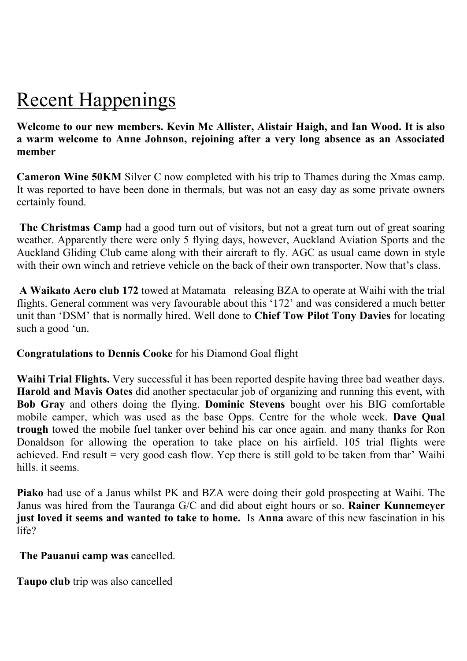# Recent Happenings

**Welcome to our new members. Kevin Mc Allister, Alistair Haigh, and Ian Wood. It is also a warm welcome to Anne Johnson, rejoining after a very long absence as an Associated member**

**Cameron Wine 50KM** Silver C now completed with his trip to Thames during the Xmas camp. It was reported to have been done in thermals, but was not an easy day as some private owners certainly found.

 **The Christmas Camp** had a good turn out of visitors, but not a great turn out of great soaring weather. Apparently there were only 5 flying days, however, Auckland Aviation Sports and the Auckland Gliding Club came along with their aircraft to fly. AGC as usual came down in style with their own winch and retrieve vehicle on the back of their own transporter. Now that's class.

 **A Waikato Aero club 172** towed at Matamata releasing BZA to operate at Waihi with the trial flights. General comment was very favourable about this '172' and was considered a much better unit than 'DSM' that is normally hired. Well done to **Chief Tow Pilot Tony Davies** for locating such a good 'un.

**Congratulations to Dennis Cooke** for his Diamond Goal flight

**Waihi Trial Flights.** Very successful it has been reported despite having three bad weather days. **Harold and Mavis Oates** did another spectacular job of organizing and running this event, with **Bob Gray** and others doing the flying. **Dominic Stevens** bought over his BIG comfortable mobile camper, which was used as the base Opps. Centre for the whole week. **Dave Qual trough** towed the mobile fuel tanker over behind his car once again. and many thanks for Ron Donaldson for allowing the operation to take place on his airfield. 105 trial flights were achieved. End result = very good cash flow. Yep there is still gold to be taken from thar' Waihi hills. it seems.

**Piako** had use of a Janus whilst PK and BZA were doing their gold prospecting at Waihi. The Janus was hired from the Tauranga G/C and did about eight hours or so. **Rainer Kunnemeyer just loved it seems and wanted to take to home.** Is **Anna** aware of this new fascination in his life?

 **The Pauanui camp was** cancelled.

**Taupo club** trip was also cancelled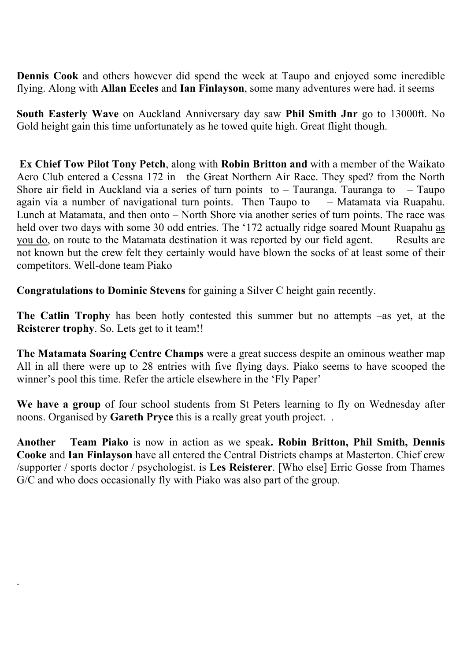**Dennis Cook** and others however did spend the week at Taupo and enjoyed some incredible flying. Along with **Allan Eccles** and **Ian Finlayson**, some many adventures were had. it seems

**South Easterly Wave** on Auckland Anniversary day saw **Phil Smith Jnr** go to 13000ft. No Gold height gain this time unfortunately as he towed quite high. Great flight though.

 **Ex Chief Tow Pilot Tony Petch**, along with **Robin Britton and** with a member of the Waikato Aero Club entered a Cessna 172 in the Great Northern Air Race. They sped? from the North Shore air field in Auckland via a series of turn points to  $-$  Tauranga. Tauranga to  $-$  Taupo again via a number of navigational turn points. Then Taupo to – Matamata via Ruapahu. Lunch at Matamata, and then onto – North Shore via another series of turn points. The race was held over two days with some 30 odd entries. The '172 actually ridge soared Mount Ruapahu as you do, on route to the Matamata destination it was reported by our field agent. Results are not known but the crew felt they certainly would have blown the socks of at least some of their competitors. Well-done team Piako

**Congratulations to Dominic Stevens** for gaining a Silver C height gain recently.

.

**The Catlin Trophy** has been hotly contested this summer but no attempts –as yet, at the **Reisterer trophy**. So. Lets get to it team!!

**The Matamata Soaring Centre Champs** were a great success despite an ominous weather map All in all there were up to 28 entries with five flying days. Piako seems to have scooped the winner's pool this time. Refer the article elsewhere in the 'Fly Paper'

**We have a group** of four school students from St Peters learning to fly on Wednesday after noons. Organised by **Gareth Pryce** this is a really great youth project. .

**Another Team Piako** is now in action as we speak**. Robin Britton, Phil Smith, Dennis Cooke** and **Ian Finlayson** have all entered the Central Districts champs at Masterton. Chief crew /supporter / sports doctor / psychologist. is **Les Reisterer**. [Who else] Erric Gosse from Thames G/C and who does occasionally fly with Piako was also part of the group.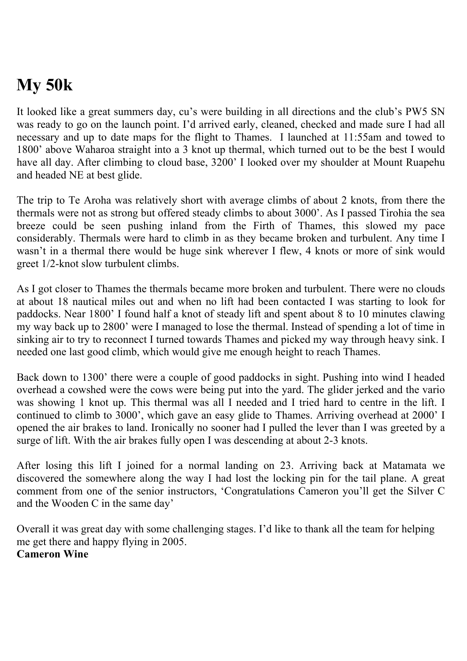# **My 50k**

It looked like a great summers day, cu's were building in all directions and the club's PW5 SN was ready to go on the launch point. I'd arrived early, cleaned, checked and made sure I had all necessary and up to date maps for the flight to Thames. I launched at 11:55am and towed to 1800' above Waharoa straight into a 3 knot up thermal, which turned out to be the best I would have all day. After climbing to cloud base, 3200' I looked over my shoulder at Mount Ruapehu and headed NE at best glide.

The trip to Te Aroha was relatively short with average climbs of about 2 knots, from there the thermals were not as strong but offered steady climbs to about 3000'. As I passed Tirohia the sea breeze could be seen pushing inland from the Firth of Thames, this slowed my pace considerably. Thermals were hard to climb in as they became broken and turbulent. Any time I wasn't in a thermal there would be huge sink wherever I flew, 4 knots or more of sink would greet 1/2-knot slow turbulent climbs.

As I got closer to Thames the thermals became more broken and turbulent. There were no clouds at about 18 nautical miles out and when no lift had been contacted I was starting to look for paddocks. Near 1800' I found half a knot of steady lift and spent about 8 to 10 minutes clawing my way back up to 2800' were I managed to lose the thermal. Instead of spending a lot of time in sinking air to try to reconnect I turned towards Thames and picked my way through heavy sink. I needed one last good climb, which would give me enough height to reach Thames.

Back down to 1300' there were a couple of good paddocks in sight. Pushing into wind I headed overhead a cowshed were the cows were being put into the yard. The glider jerked and the vario was showing 1 knot up. This thermal was all I needed and I tried hard to centre in the lift. I continued to climb to 3000', which gave an easy glide to Thames. Arriving overhead at 2000' I opened the air brakes to land. Ironically no sooner had I pulled the lever than I was greeted by a surge of lift. With the air brakes fully open I was descending at about 2-3 knots.

After losing this lift I joined for a normal landing on 23. Arriving back at Matamata we discovered the somewhere along the way I had lost the locking pin for the tail plane. A great comment from one of the senior instructors, 'Congratulations Cameron you'll get the Silver C and the Wooden C in the same day'

Overall it was great day with some challenging stages. I'd like to thank all the team for helping me get there and happy flying in 2005. **Cameron Wine**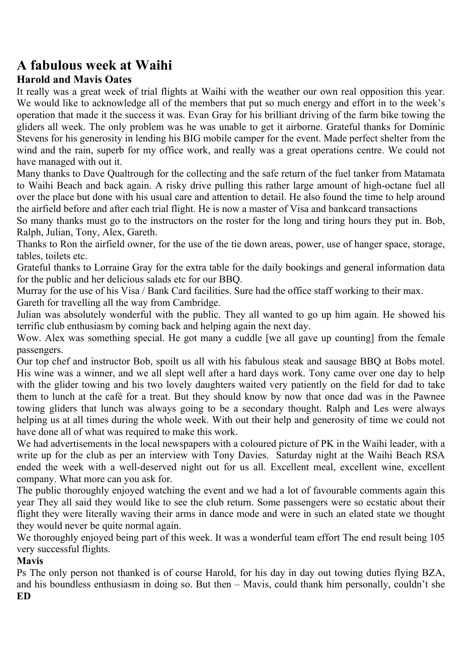### **A fabulous week at Waihi**

### **Harold and Mavis Oates**

It really was a great week of trial flights at Waihi with the weather our own real opposition this year. We would like to acknowledge all of the members that put so much energy and effort in to the week's operation that made it the success it was. Evan Gray for his brilliant driving of the farm bike towing the gliders all week. The only problem was he was unable to get it airborne. Grateful thanks for Dominic Stevens for his generosity in lending his BIG mobile camper for the event. Made perfect shelter from the wind and the rain, superb for my office work, and really was a great operations centre. We could not have managed with out it.

Many thanks to Dave Qualtrough for the collecting and the safe return of the fuel tanker from Matamata to Waihi Beach and back again. A risky drive pulling this rather large amount of high-octane fuel all over the place but done with his usual care and attention to detail. He also found the time to help around the airfield before and after each trial flight. He is now a master of Visa and bankcard transactions

So many thanks must go to the instructors on the roster for the long and tiring hours they put in. Bob, Ralph, Julian, Tony, Alex, Gareth.

Thanks to Ron the airfield owner, for the use of the tie down areas, power, use of hanger space, storage, tables, toilets etc.

Grateful thanks to Lorraine Gray for the extra table for the daily bookings and general information data for the public and her delicious salads etc for our BBQ.

Murray for the use of his Visa / Bank Card facilities. Sure had the office staff working to their max.

Gareth for travelling all the way from Cambridge.

Julian was absolutely wonderful with the public. They all wanted to go up him again. He showed his terrific club enthusiasm by coming back and helping again the next day.

Wow. Alex was something special. He got many a cuddle [we all gave up counting] from the female passengers.

Our top chef and instructor Bob, spoilt us all with his fabulous steak and sausage BBQ at Bobs motel. His wine was a winner, and we all slept well after a hard days work. Tony came over one day to help with the glider towing and his two lovely daughters waited very patiently on the field for dad to take them to lunch at the café for a treat. But they should know by now that once dad was in the Pawnee towing gliders that lunch was always going to be a secondary thought. Ralph and Les were always helping us at all times during the whole week. With out their help and generosity of time we could not have done all of what was required to make this work.

We had advertisements in the local newspapers with a coloured picture of PK in the Waihi leader, with a write up for the club as per an interview with Tony Davies. Saturday night at the Waihi Beach RSA ended the week with a well-deserved night out for us all. Excellent meal, excellent wine, excellent company. What more can you ask for.

The public thoroughly enjoyed watching the event and we had a lot of favourable comments again this year They all said they would like to see the club return. Some passengers were so ecstatic about their flight they were literally waving their arms in dance mode and were in such an elated state we thought they would never be quite normal again.

We thoroughly enjoyed being part of this week. It was a wonderful team effort The end result being 105 very successful flights.

#### **Mavis**

Ps The only person not thanked is of course Harold, for his day in day out towing duties flying BZA, and his boundless enthusiasm in doing so. But then – Mavis, could thank him personally, couldn't she **ED**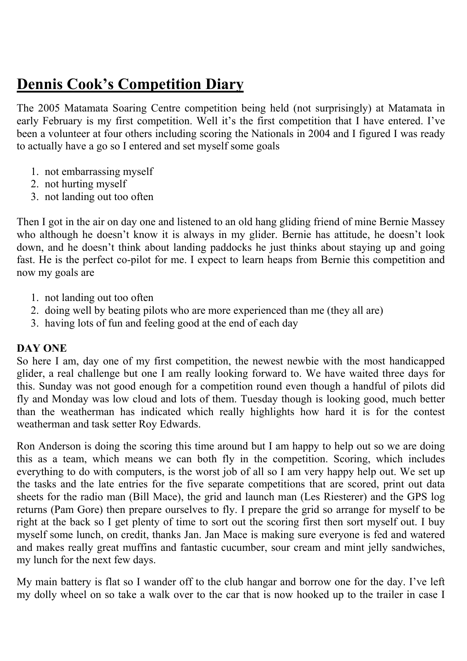## **Dennis Cook's Competition Diary**

The 2005 Matamata Soaring Centre competition being held (not surprisingly) at Matamata in early February is my first competition. Well it's the first competition that I have entered. I've been a volunteer at four others including scoring the Nationals in 2004 and I figured I was ready to actually have a go so I entered and set myself some goals

- 1. not embarrassing myself
- 2. not hurting myself
- 3. not landing out too often

Then I got in the air on day one and listened to an old hang gliding friend of mine Bernie Massey who although he doesn't know it is always in my glider. Bernie has attitude, he doesn't look down, and he doesn't think about landing paddocks he just thinks about staying up and going fast. He is the perfect co-pilot for me. I expect to learn heaps from Bernie this competition and now my goals are

- 1. not landing out too often
- 2. doing well by beating pilots who are more experienced than me (they all are)
- 3. having lots of fun and feeling good at the end of each day

### **DAY ONE**

So here I am, day one of my first competition, the newest newbie with the most handicapped glider, a real challenge but one I am really looking forward to. We have waited three days for this. Sunday was not good enough for a competition round even though a handful of pilots did fly and Monday was low cloud and lots of them. Tuesday though is looking good, much better than the weatherman has indicated which really highlights how hard it is for the contest weatherman and task setter Roy Edwards.

Ron Anderson is doing the scoring this time around but I am happy to help out so we are doing this as a team, which means we can both fly in the competition. Scoring, which includes everything to do with computers, is the worst job of all so I am very happy help out. We set up the tasks and the late entries for the five separate competitions that are scored, print out data sheets for the radio man (Bill Mace), the grid and launch man (Les Riesterer) and the GPS log returns (Pam Gore) then prepare ourselves to fly. I prepare the grid so arrange for myself to be right at the back so I get plenty of time to sort out the scoring first then sort myself out. I buy myself some lunch, on credit, thanks Jan. Jan Mace is making sure everyone is fed and watered and makes really great muffins and fantastic cucumber, sour cream and mint jelly sandwiches, my lunch for the next few days.

My main battery is flat so I wander off to the club hangar and borrow one for the day. I've left my dolly wheel on so take a walk over to the car that is now hooked up to the trailer in case I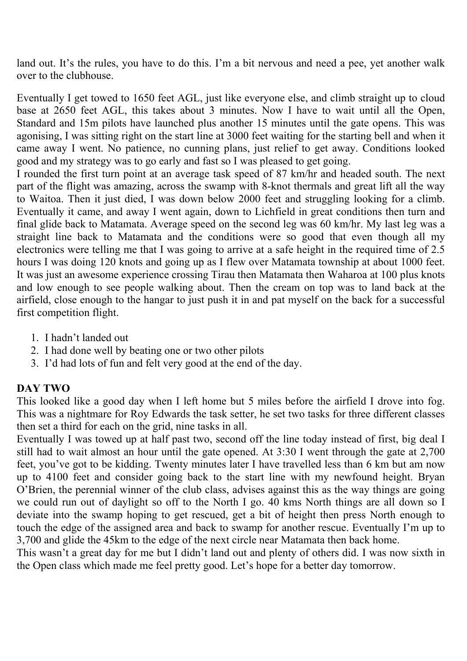land out. It's the rules, you have to do this. I'm a bit nervous and need a pee, yet another walk over to the clubhouse.

Eventually I get towed to 1650 feet AGL, just like everyone else, and climb straight up to cloud base at 2650 feet AGL, this takes about 3 minutes. Now I have to wait until all the Open, Standard and 15m pilots have launched plus another 15 minutes until the gate opens. This was agonising, I was sitting right on the start line at 3000 feet waiting for the starting bell and when it came away I went. No patience, no cunning plans, just relief to get away. Conditions looked good and my strategy was to go early and fast so I was pleased to get going.

I rounded the first turn point at an average task speed of 87 km/hr and headed south. The next part of the flight was amazing, across the swamp with 8-knot thermals and great lift all the way to Waitoa. Then it just died, I was down below 2000 feet and struggling looking for a climb. Eventually it came, and away I went again, down to Lichfield in great conditions then turn and final glide back to Matamata. Average speed on the second leg was 60 km/hr. My last leg was a straight line back to Matamata and the conditions were so good that even though all my electronics were telling me that I was going to arrive at a safe height in the required time of 2.5 hours I was doing 120 knots and going up as I flew over Matamata township at about 1000 feet. It was just an awesome experience crossing Tirau then Matamata then Waharoa at 100 plus knots and low enough to see people walking about. Then the cream on top was to land back at the airfield, close enough to the hangar to just push it in and pat myself on the back for a successful first competition flight.

- 1. I hadn't landed out
- 2. I had done well by beating one or two other pilots
- 3. I'd had lots of fun and felt very good at the end of the day.

### **DAY TWO**

This looked like a good day when I left home but 5 miles before the airfield I drove into fog. This was a nightmare for Roy Edwards the task setter, he set two tasks for three different classes then set a third for each on the grid, nine tasks in all.

Eventually I was towed up at half past two, second off the line today instead of first, big deal I still had to wait almost an hour until the gate opened. At 3:30 I went through the gate at 2,700 feet, you've got to be kidding. Twenty minutes later I have travelled less than 6 km but am now up to 4100 feet and consider going back to the start line with my newfound height. Bryan O'Brien, the perennial winner of the club class, advises against this as the way things are going we could run out of daylight so off to the North I go. 40 kms North things are all down so I deviate into the swamp hoping to get rescued, get a bit of height then press North enough to touch the edge of the assigned area and back to swamp for another rescue. Eventually I'm up to 3,700 and glide the 45km to the edge of the next circle near Matamata then back home.

This wasn't a great day for me but I didn't land out and plenty of others did. I was now sixth in the Open class which made me feel pretty good. Let's hope for a better day tomorrow.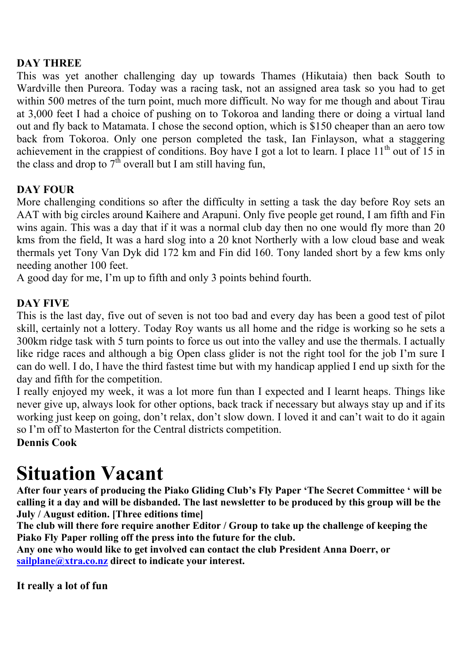#### **DAY THREE**

This was yet another challenging day up towards Thames (Hikutaia) then back South to Wardville then Pureora. Today was a racing task, not an assigned area task so you had to get within 500 metres of the turn point, much more difficult. No way for me though and about Tirau at 3,000 feet I had a choice of pushing on to Tokoroa and landing there or doing a virtual land out and fly back to Matamata. I chose the second option, which is \$150 cheaper than an aero tow back from Tokoroa. Only one person completed the task, Ian Finlayson, what a staggering achievement in the crappiest of conditions. Boy have I got a lot to learn. I place 11<sup>th</sup> out of 15 in the class and drop to  $7<sup>th</sup>$  overall but I am still having fun,

### **DAY FOUR**

More challenging conditions so after the difficulty in setting a task the day before Roy sets an AAT with big circles around Kaihere and Arapuni. Only five people get round, I am fifth and Fin wins again. This was a day that if it was a normal club day then no one would fly more than 20 kms from the field, It was a hard slog into a 20 knot Northerly with a low cloud base and weak thermals yet Tony Van Dyk did 172 km and Fin did 160. Tony landed short by a few kms only needing another 100 feet.

A good day for me, I'm up to fifth and only 3 points behind fourth.

#### **DAY FIVE**

This is the last day, five out of seven is not too bad and every day has been a good test of pilot skill, certainly not a lottery. Today Roy wants us all home and the ridge is working so he sets a 300km ridge task with 5 turn points to force us out into the valley and use the thermals. I actually like ridge races and although a big Open class glider is not the right tool for the job I'm sure I can do well. I do, I have the third fastest time but with my handicap applied I end up sixth for the day and fifth for the competition.

I really enjoyed my week, it was a lot more fun than I expected and I learnt heaps. Things like never give up, always look for other options, back track if necessary but always stay up and if its working just keep on going, don't relax, don't slow down. I loved it and can't wait to do it again so I'm off to Masterton for the Central districts competition.

**Dennis Cook**

# **Situation Vacant**

**After four years of producing the Piako Gliding Club's Fly Paper 'The Secret Committee ' will be calling it a day and will be disbanded. The last newsletter to be produced by this group will be the July / August edition. [Three editions time]**

**The club will there fore require another Editor / Group to take up the challenge of keeping the Piako Fly Paper rolling off the press into the future for the club.**

**Any one who would like to get involved can contact the club President Anna Doerr, or sailplane@xtra.co.nz direct to indicate your interest.**

**It really a lot of fun**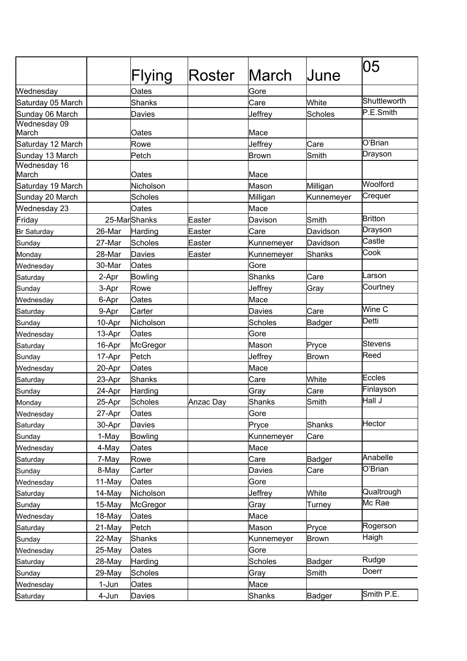|                       |        |                 |               |                |                | 05             |
|-----------------------|--------|-----------------|---------------|----------------|----------------|----------------|
|                       |        | <b>Flying</b>   | <b>Roster</b> | <b>March</b>   | Uune           |                |
| Wednesday             |        | Oates           |               | Gore           |                |                |
| Saturday 05 March     |        | <b>Shanks</b>   |               | Care           | White          | Shuttleworth   |
| Sunday 06 March       |        | Davies          |               | Jeffrey        | <b>Scholes</b> | P.E.Smith      |
| Wednesday 09          |        |                 |               |                |                |                |
| March                 |        | Oates           |               | Mace           |                | O'Brian        |
| Saturday 12 March     |        | Rowe            |               | Jeffrey        | Care           |                |
| Sunday 13 March       |        | Petch           |               | <b>Brown</b>   | Smith          | Drayson        |
| Wednesday 16<br>March |        | Oates           |               | Mace           |                |                |
| Saturday 19 March     |        | Nicholson       |               | Mason          | Milligan       | Woolford       |
| Sunday 20 March       |        | <b>Scholes</b>  |               | Milligan       | Kunnemeyer     | Crequer        |
| Wednesday 23          |        | Oates           |               | Mace           |                |                |
| Friday                |        | 25-MarShanks    | Easter        | Davison        | Smith          | <b>Britton</b> |
| <b>Br Saturday</b>    | 26-Mar | Harding         | Easter        | Care           | Davidson       | Drayson        |
| Sunday                | 27-Mar | <b>Scholes</b>  | Easter        | Kunnemeyer     | Davidson       | Castle         |
| Monday                | 28-Mar | <b>Davies</b>   | Easter        | Kunnemeyer     | <b>Shanks</b>  | Cook           |
| Wednesday             | 30-Mar | Oates           |               | Gore           |                |                |
| Saturday              | 2-Apr  | <b>Bowling</b>  |               | Shanks         | Care           | Larson         |
| Sunday                | 3-Apr  | Rowe            |               | Jeffrey        | Gray           | Courtney       |
| Wednesday             | 6-Apr  | Oates           |               | Mace           |                |                |
| Saturday              | 9-Apr  | Carter          |               | Davies         | Care           | Wine C         |
| Sunday                | 10-Apr | Nicholson       |               | <b>Scholes</b> | <b>Badger</b>  | Detti          |
| Wednesday             | 13-Apr | Oates           |               | Gore           |                |                |
| Saturday              | 16-Apr | <b>McGregor</b> |               | Mason          | Pryce          | <b>Stevens</b> |
| Sunday                | 17-Apr | Petch           |               | Jeffrey        | <b>Brown</b>   | Reed           |
| Wednesday             | 20-Apr | Oates           |               | Mace           |                |                |
| Saturday              | 23-Apr | <b>Shanks</b>   |               | Care           | White          | <b>Eccles</b>  |
|                       | 24-Apr | Harding         |               | Gray           | Care           | Finlayson      |
| Sunday<br>Monday      | 25-Apr | <b>Scholes</b>  | Anzac Day     | <b>Shanks</b>  | Smith          | Hall J         |
|                       | 27-Apr | Oates           |               | Gore           |                |                |
| Wednesday             |        | Davies          |               | Pryce          | <b>Shanks</b>  | Hector         |
| Saturday              | 30-Apr |                 |               |                |                |                |
| Sunday                | 1-May  | <b>Bowling</b>  |               | Kunnemeyer     | Care           |                |
| Wednesday             | 4-May  | Oates           |               | Mace           |                | Anabelle       |
| Saturday              | 7-May  | Rowe            |               | Care           | Badger         | O'Brian        |
| Sunday                | 8-May  | Carter          |               | Davies         | Care           |                |
| Wednesday             | 11-May | Oates           |               | Gore           |                | Qualtrough     |
| Saturday              | 14-May | Nicholson       |               | Jeffrey        | White          | Mc Rae         |
| Sunday                | 15-May | McGregor        |               | Gray           | Turney         |                |
| Wednesday             | 18-May | Oates           |               | Mace           |                | Rogerson       |
| Saturday              | 21-May | Petch           |               | Mason          | Pryce          |                |
| Sunday                | 22-May | Shanks          |               | Kunnemeyer     | <b>Brown</b>   | Haigh          |
| Wednesday             | 25-May | Oates           |               | Gore           |                |                |
| Saturday              | 28-May | Harding         |               | <b>Scholes</b> | <b>Badger</b>  | Rudge          |
| Sunday                | 29-May | <b>Scholes</b>  |               | Gray           | Smith          | Doerr          |
| Wednesday             | 1-Jun  | Oates           |               | Mace           |                |                |
| Saturday              | 4-Jun  | Davies          |               | <b>Shanks</b>  | <b>Badger</b>  | Smith P.E.     |